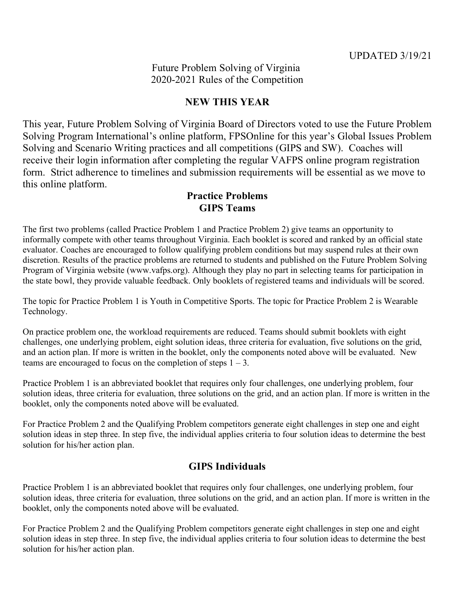Future Problem Solving of Virginia 2020-2021 Rules of the Competition

# **NEW THIS YEAR**

This year, Future Problem Solving of Virginia Board of Directors voted to use the Future Problem Solving Program International's online platform, FPSOnline for this year's Global Issues Problem Solving and Scenario Writing practices and all competitions (GIPS and SW). Coaches will receive their login information after completing the regular VAFPS online program registration form. Strict adherence to timelines and submission requirements will be essential as we move to this online platform.

## **Practice Problems GIPS Teams**

The first two problems (called Practice Problem 1 and Practice Problem 2) give teams an opportunity to informally compete with other teams throughout Virginia. Each booklet is scored and ranked by an official state evaluator. Coaches are encouraged to follow qualifying problem conditions but may suspend rules at their own discretion. Results of the practice problems are returned to students and published on the Future Problem Solving Program of Virginia website (www.vafps.org). Although they play no part in selecting teams for participation in the state bowl, they provide valuable feedback. Only booklets of registered teams and individuals will be scored.

The topic for Practice Problem 1 is Youth in Competitive Sports. The topic for Practice Problem 2 is Wearable Technology.

On practice problem one, the workload requirements are reduced. Teams should submit booklets with eight challenges, one underlying problem, eight solution ideas, three criteria for evaluation, five solutions on the grid, and an action plan. If more is written in the booklet, only the components noted above will be evaluated. New teams are encouraged to focus on the completion of steps  $1 - 3$ .

Practice Problem 1 is an abbreviated booklet that requires only four challenges, one underlying problem, four solution ideas, three criteria for evaluation, three solutions on the grid, and an action plan. If more is written in the booklet, only the components noted above will be evaluated.

For Practice Problem 2 and the Qualifying Problem competitors generate eight challenges in step one and eight solution ideas in step three. In step five, the individual applies criteria to four solution ideas to determine the best solution for his/her action plan.

## **GIPS Individuals**

Practice Problem 1 is an abbreviated booklet that requires only four challenges, one underlying problem, four solution ideas, three criteria for evaluation, three solutions on the grid, and an action plan. If more is written in the booklet, only the components noted above will be evaluated.

For Practice Problem 2 and the Qualifying Problem competitors generate eight challenges in step one and eight solution ideas in step three. In step five, the individual applies criteria to four solution ideas to determine the best solution for his/her action plan.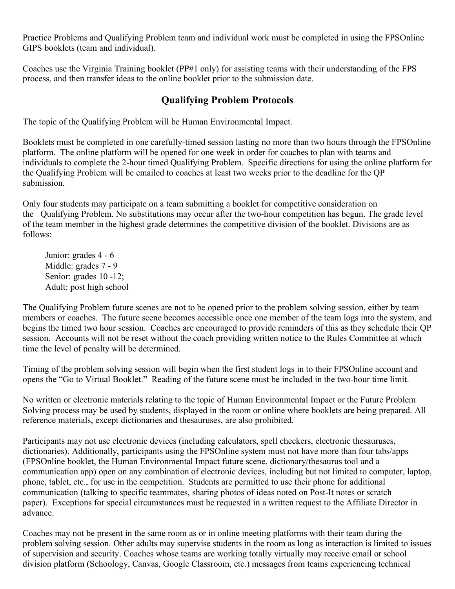Practice Problems and Qualifying Problem team and individual work must be completed in using the FPSOnline GIPS booklets (team and individual).

Coaches use the Virginia Training booklet (PP#1 only) for assisting teams with their understanding of the FPS process, and then transfer ideas to the online booklet prior to the submission date.

## **Qualifying Problem Protocols**

The topic of the Qualifying Problem will be Human Environmental Impact.

Booklets must be completed in one carefully-timed session lasting no more than two hours through the FPSOnline platform. The online platform will be opened for one week in order for coaches to plan with teams and individuals to complete the 2-hour timed Qualifying Problem. Specific directions for using the online platform for the Qualifying Problem will be emailed to coaches at least two weeks prior to the deadline for the QP submission.

Only four students may participate on a team submitting a booklet for competitive consideration on the Qualifying Problem. No substitutions may occur after the two-hour competition has begun. The grade level of the team member in the highest grade determines the competitive division of the booklet. Divisions are as follows:

Junior: grades 4 - 6 Middle: grades 7 - 9 Senior: grades 10 -12; Adult: post high school

The Qualifying Problem future scenes are not to be opened prior to the problem solving session, either by team members or coaches. The future scene becomes accessible once one member of the team logs into the system, and begins the timed two hour session. Coaches are encouraged to provide reminders of this as they schedule their QP session. Accounts will not be reset without the coach providing written notice to the Rules Committee at which time the level of penalty will be determined.

Timing of the problem solving session will begin when the first student logs in to their FPSOnline account and opens the "Go to Virtual Booklet." Reading of the future scene must be included in the two-hour time limit.

No written or electronic materials relating to the topic of Human Environmental Impact or the Future Problem Solving process may be used by students, displayed in the room or online where booklets are being prepared. All reference materials, except dictionaries and thesauruses, are also prohibited.

Participants may not use electronic devices (including calculators, spell checkers, electronic thesauruses, dictionaries). Additionally, participants using the FPSOnline system must not have more than four tabs/apps (FPSOnline booklet, the Human Environmental Impact future scene, dictionary/thesaurus tool and a communication app) open on any combination of electronic devices, including but not limited to computer, laptop, phone, tablet, etc., for use in the competition. Students are permitted to use their phone for additional communication (talking to specific teammates, sharing photos of ideas noted on Post-It notes or scratch paper). Exceptions for special circumstances must be requested in a written request to the Affiliate Director in advance.

Coaches may not be present in the same room as or in online meeting platforms with their team during the problem solving session. Other adults may supervise students in the room as long as interaction is limited to issues of supervision and security. Coaches whose teams are working totally virtually may receive email or school division platform (Schoology, Canvas, Google Classroom, etc.) messages from teams experiencing technical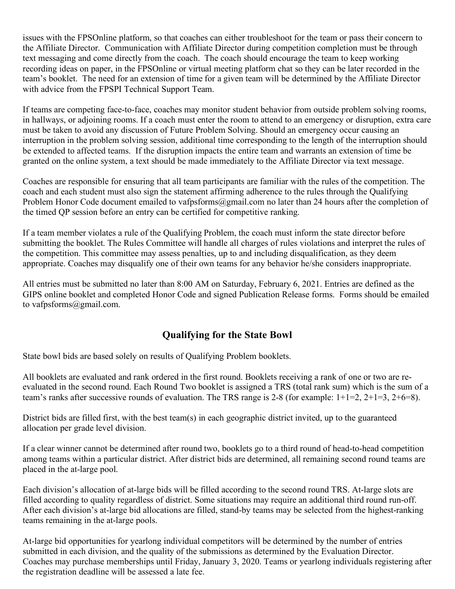issues with the FPSOnline platform, so that coaches can either troubleshoot for the team or pass their concern to the Affiliate Director. Communication with Affiliate Director during competition completion must be through text messaging and come directly from the coach. The coach should encourage the team to keep working recording ideas on paper, in the FPSOnline or virtual meeting platform chat so they can be later recorded in the team's booklet. The need for an extension of time for a given team will be determined by the Affiliate Director with advice from the FPSPI Technical Support Team.

If teams are competing face-to-face, coaches may monitor student behavior from outside problem solving rooms, in hallways, or adjoining rooms. If a coach must enter the room to attend to an emergency or disruption, extra care must be taken to avoid any discussion of Future Problem Solving. Should an emergency occur causing an interruption in the problem solving session, additional time corresponding to the length of the interruption should be extended to affected teams. If the disruption impacts the entire team and warrants an extension of time be granted on the online system, a text should be made immediately to the Affiliate Director via text message.

Coaches are responsible for ensuring that all team participants are familiar with the rules of the competition. The coach and each student must also sign the statement affirming adherence to the rules through the Qualifying Problem Honor Code document emailed to vafpsforms@gmail.com no later than 24 hours after the completion of the timed QP session before an entry can be certified for competitive ranking.

If a team member violates a rule of the Qualifying Problem, the coach must inform the state director before submitting the booklet. The Rules Committee will handle all charges of rules violations and interpret the rules of the competition. This committee may assess penalties, up to and including disqualification, as they deem appropriate. Coaches may disqualify one of their own teams for any behavior he/she considers inappropriate.

All entries must be submitted no later than 8:00 AM on Saturday, February 6, 2021. Entries are defined as the GIPS online booklet and completed Honor Code and signed Publication Release forms. Forms should be emailed to vafpsforms@gmail.com.

# **Qualifying for the State Bowl**

State bowl bids are based solely on results of Qualifying Problem booklets.

All booklets are evaluated and rank ordered in the first round. Booklets receiving a rank of one or two are reevaluated in the second round. Each Round Two booklet is assigned a TRS (total rank sum) which is the sum of a team's ranks after successive rounds of evaluation. The TRS range is 2-8 (for example: 1+1=2, 2+1=3, 2+6=8).

District bids are filled first, with the best team(s) in each geographic district invited, up to the guaranteed allocation per grade level division.

If a clear winner cannot be determined after round two, booklets go to a third round of head-to-head competition among teams within a particular district. After district bids are determined, all remaining second round teams are placed in the at-large pool.

Each division's allocation of at-large bids will be filled according to the second round TRS. At-large slots are filled according to quality regardless of district. Some situations may require an additional third round run-off. After each division's at-large bid allocations are filled, stand-by teams may be selected from the highest-ranking teams remaining in the at-large pools.

At-large bid opportunities for yearlong individual competitors will be determined by the number of entries submitted in each division, and the quality of the submissions as determined by the Evaluation Director. Coaches may purchase memberships until Friday, January 3, 2020. Teams or yearlong individuals registering after the registration deadline will be assessed a late fee.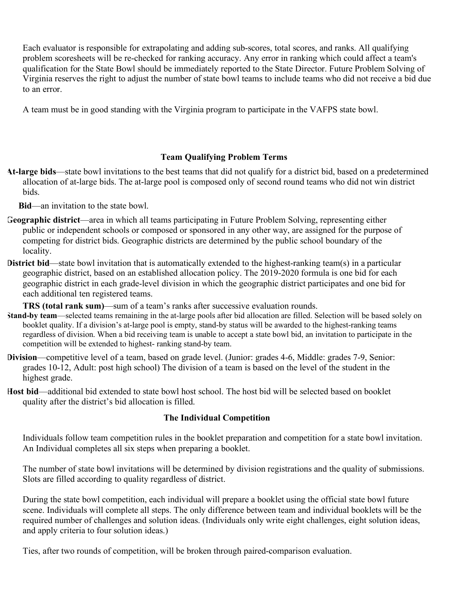Each evaluator is responsible for extrapolating and adding sub-scores, total scores, and ranks. All qualifying problem scoresheets will be re-checked for ranking accuracy. Any error in ranking which could affect a team's qualification for the State Bowl should be immediately reported to the State Director. Future Problem Solving of Virginia reserves the right to adjust the number of state bowl teams to include teams who did not receive a bid due to an error.

A team must be in good standing with the Virginia program to participate in the VAFPS state bowl.

### **Team Qualifying Problem Terms**

**At-large bids**—state bowl invitations to the best teams that did not qualify for a district bid, based on a predetermined allocation of at-large bids. The at-large pool is composed only of second round teams who did not win district bids.

**Bid**—an invitation to the state bowl.

- **Geographic district**—area in which all teams participating in Future Problem Solving, representing either public or independent schools or composed or sponsored in any other way, are assigned for the purpose of competing for district bids. Geographic districts are determined by the public school boundary of the locality.
- **District bid—state bowl invitation that is automatically extended to the highest-ranking team(s) in a particular** geographic district, based on an established allocation policy. The 2019-2020 formula is one bid for each geographic district in each grade-level division in which the geographic district participates and one bid for each additional ten registered teams.

**TRS (total rank sum)—sum of a team's ranks after successive evaluation rounds.** 

- **Stand-by team**—selected teams remaining in the at-large pools after bid allocation are filled. Selection will be based solely on booklet quality. If a division's at-large pool is empty, stand-by status will be awarded to the highest-ranking teams regardless of division. When a bid receiving team is unable to accept a state bowl bid, an invitation to participate in the competition will be extended to highest- ranking stand-by team.
- **Division**—competitive level of a team, based on grade level. (Junior: grades 4-6, Middle: grades 7-9, Senior: grades 10-12, Adult: post high school) The division of a team is based on the level of the student in the highest grade.
- **Host bid**—additional bid extended to state bowl host school. The host bid will be selected based on booklet quality after the district's bid allocation is filled.

### **The Individual Competition**

Individuals follow team competition rules in the booklet preparation and competition for a state bowl invitation. An Individual completes all six steps when preparing a booklet.

The number of state bowl invitations will be determined by division registrations and the quality of submissions. Slots are filled according to quality regardless of district.

During the state bowl competition, each individual will prepare a booklet using the official state bowl future scene. Individuals will complete all steps. The only difference between team and individual booklets will be the required number of challenges and solution ideas. (Individuals only write eight challenges, eight solution ideas, and apply criteria to four solution ideas.)

Ties, after two rounds of competition, will be broken through paired-comparison evaluation.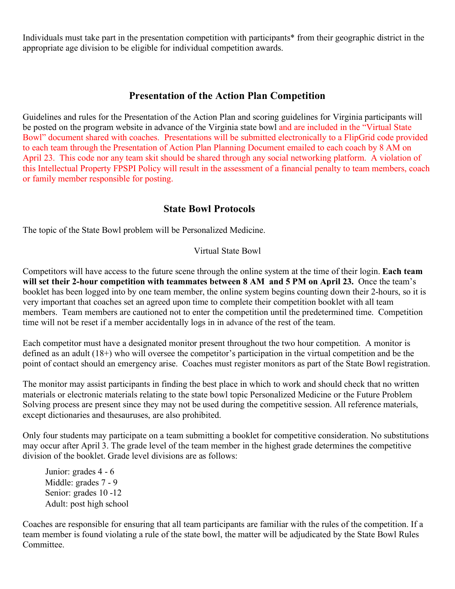Individuals must take part in the presentation competition with participants\* from their geographic district in the appropriate age division to be eligible for individual competition awards.

### **Presentation of the Action Plan Competition**

Guidelines and rules for the Presentation of the Action Plan and scoring guidelines for Virginia participants will be posted on the program website in advance of the Virginia state bowl and are included in the "Virtual State Bowl" document shared with coaches. Presentations will be submitted electronically to a FlipGrid code provided to each team through the Presentation of Action Plan Planning Document emailed to each coach by 8 AM on April 23. This code nor any team skit should be shared through any social networking platform. A violation of this Intellectual Property FPSPI Policy will result in the assessment of a financial penalty to team members, coach or family member responsible for posting.

## **State Bowl Protocols**

The topic of the State Bowl problem will be Personalized Medicine.

### Virtual State Bowl

Competitors will have access to the future scene through the online system at the time of their login. **Each team will set their 2-hour competition with teammates between 8 AM and 5 PM on April 23.** Once the team's booklet has been logged into by one team member, the online system begins counting down their 2-hours, so it is very important that coaches set an agreed upon time to complete their competition booklet with all team members. Team members are cautioned not to enter the competition until the predetermined time. Competition time will not be reset if a member accidentally logs in in advance of the rest of the team.

Each competitor must have a designated monitor present throughout the two hour competition. A monitor is defined as an adult (18+) who will oversee the competitor's participation in the virtual competition and be the point of contact should an emergency arise. Coaches must register monitors as part of the State Bowl registration.

The monitor may assist participants in finding the best place in which to work and should check that no written materials or electronic materials relating to the state bowl topic Personalized Medicine or the Future Problem Solving process are present since they may not be used during the competitive session. All reference materials, except dictionaries and thesauruses, are also prohibited.

Only four students may participate on a team submitting a booklet for competitive consideration. No substitutions may occur after April 3. The grade level of the team member in the highest grade determines the competitive division of the booklet. Grade level divisions are as follows:

Junior: grades 4 - 6 Middle: grades 7 - 9 Senior: grades 10 -12 Adult: post high school

Coaches are responsible for ensuring that all team participants are familiar with the rules of the competition. If a team member is found violating a rule of the state bowl, the matter will be adjudicated by the State Bowl Rules Committee.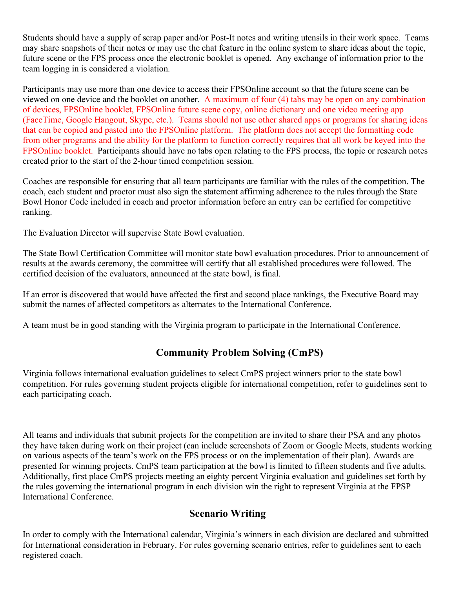Students should have a supply of scrap paper and/or Post-It notes and writing utensils in their work space. Teams may share snapshots of their notes or may use the chat feature in the online system to share ideas about the topic, future scene or the FPS process once the electronic booklet is opened. Any exchange of information prior to the team logging in is considered a violation.

Participants may use more than one device to access their FPSOnline account so that the future scene can be viewed on one device and the booklet on another. A maximum of four (4) tabs may be open on any combination of devices, FPSOnline booklet, FPSOnline future scene copy, online dictionary and one video meeting app (FaceTime, Google Hangout, Skype, etc.). Teams should not use other shared apps or programs for sharing ideas that can be copied and pasted into the FPSOnline platform. The platform does not accept the formatting code from other programs and the ability for the platform to function correctly requires that all work be keyed into the FPSOnline booklet. Participants should have no tabs open relating to the FPS process, the topic or research notes created prior to the start of the 2-hour timed competition session.

Coaches are responsible for ensuring that all team participants are familiar with the rules of the competition. The coach, each student and proctor must also sign the statement affirming adherence to the rules through the State Bowl Honor Code included in coach and proctor information before an entry can be certified for competitive ranking.

The Evaluation Director will supervise State Bowl evaluation.

The State Bowl Certification Committee will monitor state bowl evaluation procedures. Prior to announcement of results at the awards ceremony, the committee will certify that all established procedures were followed. The certified decision of the evaluators, announced at the state bowl, is final.

If an error is discovered that would have affected the first and second place rankings, the Executive Board may submit the names of affected competitors as alternates to the International Conference.

A team must be in good standing with the Virginia program to participate in the International Conference.

# **Community Problem Solving (CmPS)**

Virginia follows international evaluation guidelines to select CmPS project winners prior to the state bowl competition. For rules governing student projects eligible for international competition, refer to guidelines sent to each participating coach.

All teams and individuals that submit projects for the competition are invited to share their PSA and any photos they have taken during work on their project (can include screenshots of Zoom or Google Meets, students working on various aspects of the team's work on the FPS process or on the implementation of their plan). Awards are presented for winning projects. CmPS team participation at the bowl is limited to fifteen students and five adults. Additionally, first place CmPS projects meeting an eighty percent Virginia evaluation and guidelines set forth by the rules governing the international program in each division win the right to represent Virginia at the FPSP International Conference.

## **Scenario Writing**

In order to comply with the International calendar, Virginia's winners in each division are declared and submitted for International consideration in February. For rules governing scenario entries, refer to guidelines sent to each registered coach.